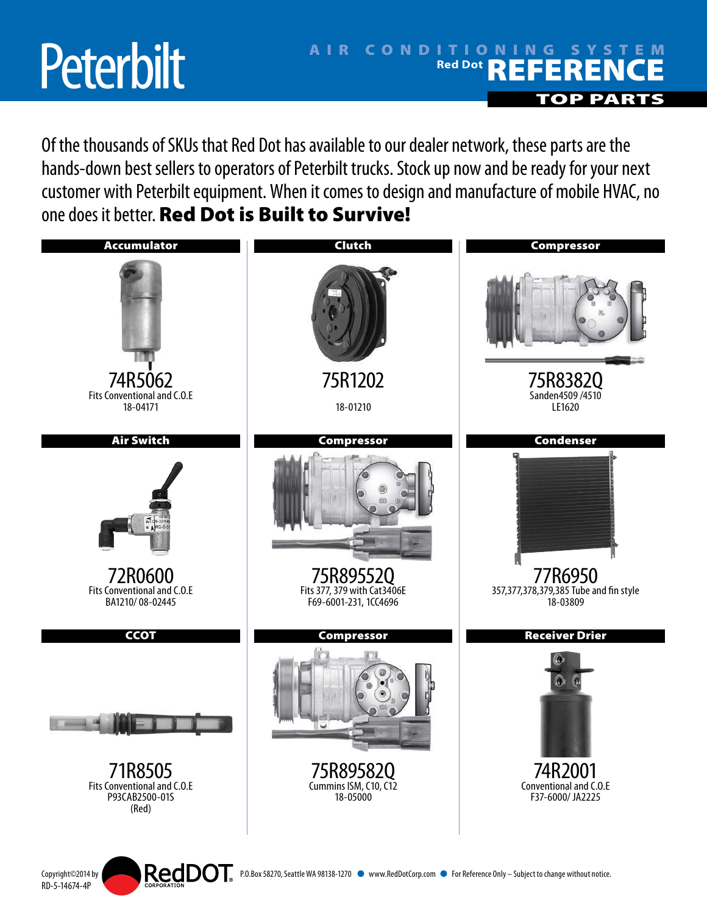## **Peterbilt**

RD-5-14674-4P

## AIR CONDITIONING SYSTEM Red Dot **REFERENCE OPPA**

Of the thousands of SKUs that Red Dot has available to our dealer network, these parts are the hands-down best sellers to operators of Peterbilt trucks. Stock up now and be ready for your next customer with Peterbilt equipment. When it comes to design and manufacture of mobile HVAC, no one does it better. Red Dot is Built to Survive!